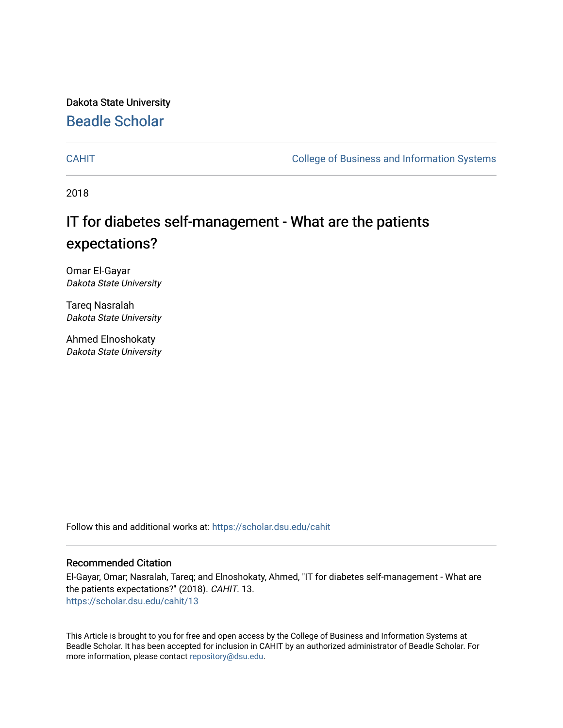Dakota State University [Beadle Scholar](https://scholar.dsu.edu/)

[CAHIT](https://scholar.dsu.edu/cahit) [College of Business and Information Systems](https://scholar.dsu.edu/biscollege) 

2018

## IT for diabetes self-management - What are the patients expectations?

Omar El-Gayar Dakota State University

Tareq Nasralah Dakota State University

Ahmed Elnoshokaty Dakota State University

Follow this and additional works at: [https://scholar.dsu.edu/cahit](https://scholar.dsu.edu/cahit?utm_source=scholar.dsu.edu%2Fcahit%2F13&utm_medium=PDF&utm_campaign=PDFCoverPages) 

#### Recommended Citation

El-Gayar, Omar; Nasralah, Tareq; and Elnoshokaty, Ahmed, "IT for diabetes self-management - What are the patients expectations?" (2018). CAHIT. 13. [https://scholar.dsu.edu/cahit/13](https://scholar.dsu.edu/cahit/13?utm_source=scholar.dsu.edu%2Fcahit%2F13&utm_medium=PDF&utm_campaign=PDFCoverPages) 

This Article is brought to you for free and open access by the College of Business and Information Systems at Beadle Scholar. It has been accepted for inclusion in CAHIT by an authorized administrator of Beadle Scholar. For more information, please contact [repository@dsu.edu.](mailto:repository@dsu.edu)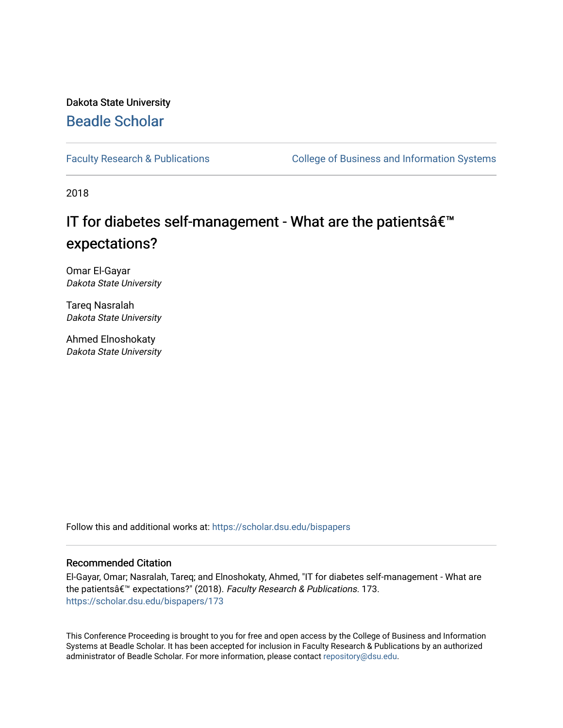## Dakota State University [Beadle Scholar](https://scholar.dsu.edu/)

[Faculty Research & Publications](https://scholar.dsu.edu/bispapers) **College of Business and Information Systems** 

2018

## IT for diabetes self-management - What are the patients  $\hat{\mathbf{a}} \in \mathbb{M}$ expectations?

Omar El-Gayar Dakota State University

Tareq Nasralah Dakota State University

Ahmed Elnoshokaty Dakota State University

Follow this and additional works at: [https://scholar.dsu.edu/bispapers](https://scholar.dsu.edu/bispapers?utm_source=scholar.dsu.edu%2Fbispapers%2F173&utm_medium=PDF&utm_campaign=PDFCoverPages)

#### Recommended Citation

El-Gayar, Omar; Nasralah, Tareq; and Elnoshokaty, Ahmed, "IT for diabetes self-management - What are the patientsâ€<sup>™</sup> expectations?" (2018). Faculty Research & Publications. 173. [https://scholar.dsu.edu/bispapers/173](https://scholar.dsu.edu/bispapers/173?utm_source=scholar.dsu.edu%2Fbispapers%2F173&utm_medium=PDF&utm_campaign=PDFCoverPages)

This Conference Proceeding is brought to you for free and open access by the College of Business and Information Systems at Beadle Scholar. It has been accepted for inclusion in Faculty Research & Publications by an authorized administrator of Beadle Scholar. For more information, please contact [repository@dsu.edu.](mailto:repository@dsu.edu)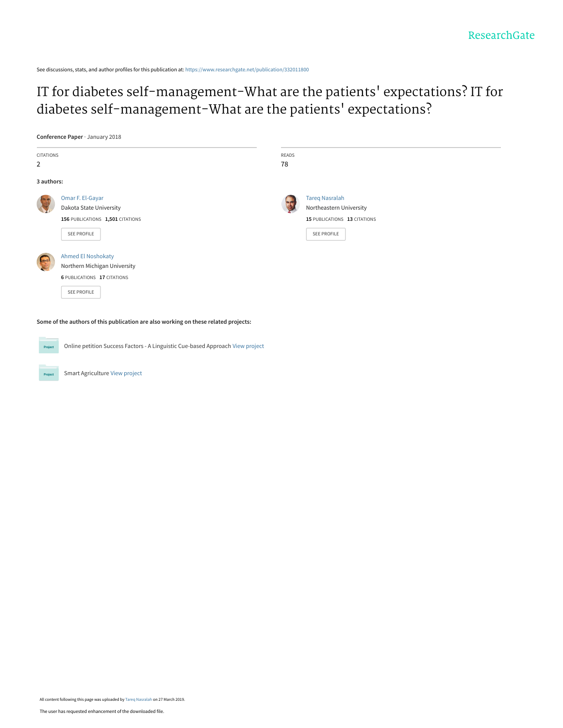See discussions, stats, and author profiles for this publication at: [https://www.researchgate.net/publication/332011800](https://www.researchgate.net/publication/332011800_IT_for_diabetes_self-management-What_are_the_patients%27_expectations_IT_for_diabetes_self-management-What_are_the_patients%27_expectations?enrichId=rgreq-c4c028e72f4648973311a3104aaa48c7-XXX&enrichSource=Y292ZXJQYWdlOzMzMjAxMTgwMDtBUzo3NDA5MDk4MzQ1ODgxNjFAMTU1MzY1ODA3ODY3Mg%3D%3D&el=1_x_2&_esc=publicationCoverPdf)

[IT for diabetes self-management-What are the patients](https://www.researchgate.net/publication/332011800_IT_for_diabetes_self-management-What_are_the_patients%27_expectations_IT_for_diabetes_self-management-What_are_the_patients%27_expectations?enrichId=rgreq-c4c028e72f4648973311a3104aaa48c7-XXX&enrichSource=Y292ZXJQYWdlOzMzMjAxMTgwMDtBUzo3NDA5MDk4MzQ1ODgxNjFAMTU1MzY1ODA3ODY3Mg%3D%3D&el=1_x_3&_esc=publicationCoverPdf)' expectations? IT for diabetes self-management-What are the patients' expectations?

**Conference Paper** · January 2018

| CITATIONS<br>2 |                                                                                                         | READS<br>78 |                                                                                                        |
|----------------|---------------------------------------------------------------------------------------------------------|-------------|--------------------------------------------------------------------------------------------------------|
| 3 authors:     |                                                                                                         |             |                                                                                                        |
|                | Omar F. El-Gayar<br>Dakota State University<br>156 PUBLICATIONS 1,501 CITATIONS<br>SEE PROFILE          |             | <b>Tareg Nasralah</b><br>Northeastern University<br>15 PUBLICATIONS 13 CITATIONS<br><b>SEE PROFILE</b> |
|                | <b>Ahmed El Noshokaty</b><br>Northern Michigan University<br>6 PUBLICATIONS 17 CITATIONS<br>SEE PROFILE |             |                                                                                                        |

**Some of the authors of this publication are also working on these related projects:**

Online petition Success Factors - A Linguistic Cue-based Approach [View project](https://www.researchgate.net/project/Online-petition-Success-Factors-A-Linguistic-Cue-based-Approach?enrichId=rgreq-c4c028e72f4648973311a3104aaa48c7-XXX&enrichSource=Y292ZXJQYWdlOzMzMjAxMTgwMDtBUzo3NDA5MDk4MzQ1ODgxNjFAMTU1MzY1ODA3ODY3Mg%3D%3D&el=1_x_9&_esc=publicationCoverPdf) Project

Smart Agriculture [View project](https://www.researchgate.net/project/Smart-Agriculture-11?enrichId=rgreq-c4c028e72f4648973311a3104aaa48c7-XXX&enrichSource=Y292ZXJQYWdlOzMzMjAxMTgwMDtBUzo3NDA5MDk4MzQ1ODgxNjFAMTU1MzY1ODA3ODY3Mg%3D%3D&el=1_x_9&_esc=publicationCoverPdf)

Project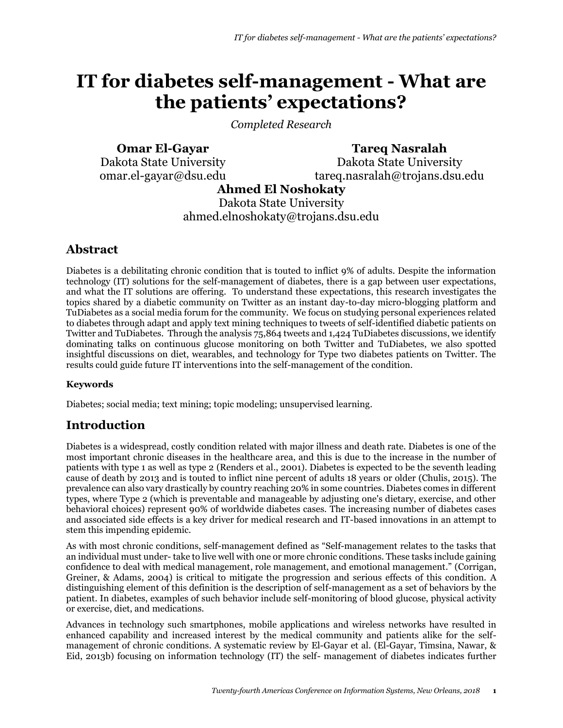# **IT for diabetes self-management - What are the patients' expectations?**

*Completed Research*

**Omar El-Gayar** Dakota State University omar.el-gayar@dsu.edu **Ahmed El Noshokaty**

**Tareq Nasralah** Dakota State University tareq.nasralah@trojans.dsu.edu

Dakota State University ahmed.elnoshokaty@trojans.dsu.edu

## **Abstract**

Diabetes is a debilitating chronic condition that is touted to inflict 9% of adults. Despite the information technology (IT) solutions for the self-management of diabetes, there is a gap between user expectations, and what the IT solutions are offering. To understand these expectations, this research investigates the topics shared by a diabetic community on Twitter as an instant day-to-day micro-blogging platform and TuDiabetes as a social media forum for the community. We focus on studying personal experiences related to diabetes through adapt and apply text mining techniques to tweets of self-identified diabetic patients on Twitter and TuDiabetes. Through the analysis 75,864 tweets and 1,424 TuDiabetes discussions, we identify dominating talks on continuous glucose monitoring on both Twitter and TuDiabetes, we also spotted insightful discussions on diet, wearables, and technology for Type two diabetes patients on Twitter. The results could guide future IT interventions into the self-management of the condition.

#### **Keywords**

Diabetes; social media; text mining; topic modeling; unsupervised learning.

## **Introduction**

Diabetes is a widespread, costly condition related with major illness and death rate. Diabetes is one of the most important chronic diseases in the healthcare area, and this is due to the increase in the number of patients with type 1 as well as type 2 (Renders et al., 2001). Diabetes is expected to be the seventh leading cause of death by 2013 and is touted to inflict nine percent of adults 18 years or older (Chulis, 2015). The prevalence can also vary drastically by country reaching 20% in some countries. Diabetes comes in different types, where Type 2 (which is preventable and manageable by adjusting one's dietary, exercise, and other behavioral choices) represent 90% of worldwide diabetes cases. The increasing number of diabetes cases and associated side effects is a key driver for medical research and IT-based innovations in an attempt to stem this impending epidemic.

As with most chronic conditions, self-management defined as "Self-management relates to the tasks that an individual must under- take to live well with one or more chronic conditions. These tasks include gaining confidence to deal with medical management, role management, and emotional management." (Corrigan, Greiner, & Adams, 2004) is critical to mitigate the progression and serious effects of this condition. A distinguishing element of this definition is the description of self-management as a set of behaviors by the patient. In diabetes, examples of such behavior include self-monitoring of blood glucose, physical activity or exercise, diet, and medications.

Advances in technology such smartphones, mobile applications and wireless networks have resulted in enhanced capability and increased interest by the medical community and patients alike for the selfmanagement of chronic conditions. A systematic review by El-Gayar et al. (El-Gayar, Timsina, Nawar, & Eid, 2013b) focusing on information technology (IT) the self- management of diabetes indicates further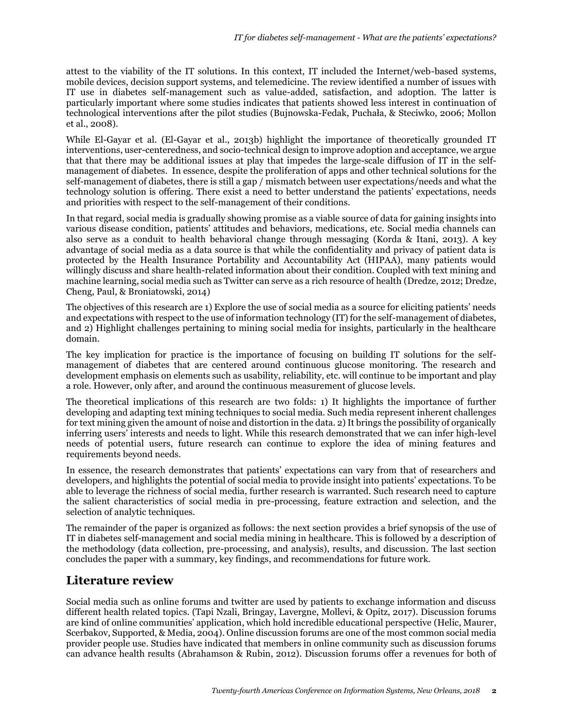attest to the viability of the IT solutions. In this context, IT included the Internet/web-based systems, mobile devices, decision support systems, and telemedicine. The review identified a number of issues with IT use in diabetes self-management such as value-added, satisfaction, and adoption. The latter is particularly important where some studies indicates that patients showed less interest in continuation of technological interventions after the pilot studies (Bujnowska-Fedak, Puchała, & Steciwko, 2006; Mollon et al., 2008).

While El-Gayar et al. (El-Gayar et al., 2013b) highlight the importance of theoretically grounded IT interventions, user-centeredness, and socio-technical design to improve adoption and acceptance, we argue that that there may be additional issues at play that impedes the large-scale diffusion of IT in the selfmanagement of diabetes. In essence, despite the proliferation of apps and other technical solutions for the self-management of diabetes, there is still a gap / mismatch between user expectations/needs and what the technology solution is offering. There exist a need to better understand the patients' expectations, needs and priorities with respect to the self-management of their conditions.

In that regard, social media is gradually showing promise as a viable source of data for gaining insights into various disease condition, patients' attitudes and behaviors, medications, etc. Social media channels can also serve as a conduit to health behavioral change through messaging (Korda & Itani, 2013). A key advantage of social media as a data source is that while the confidentiality and privacy of patient data is protected by the Health Insurance Portability and Accountability Act (HIPAA), many patients would willingly discuss and share health-related information about their condition. Coupled with text mining and machine learning, social media such as Twitter can serve as a rich resource of health (Dredze, 2012; Dredze, Cheng, Paul, & Broniatowski, 2014)

The objectives of this research are 1) Explore the use of social media as a source for eliciting patients' needs and expectations with respect to the use of information technology (IT) for the self-management of diabetes, and 2) Highlight challenges pertaining to mining social media for insights, particularly in the healthcare domain.

The key implication for practice is the importance of focusing on building IT solutions for the selfmanagement of diabetes that are centered around continuous glucose monitoring. The research and development emphasis on elements such as usability, reliability, etc. will continue to be important and play a role. However, only after, and around the continuous measurement of glucose levels.

The theoretical implications of this research are two folds: 1) It highlights the importance of further developing and adapting text mining techniques to social media. Such media represent inherent challenges for text mining given the amount of noise and distortion in the data. 2) It brings the possibility of organically inferring users' interests and needs to light. While this research demonstrated that we can infer high-level needs of potential users, future research can continue to explore the idea of mining features and requirements beyond needs.

In essence, the research demonstrates that patients' expectations can vary from that of researchers and developers, and highlights the potential of social media to provide insight into patients' expectations. To be able to leverage the richness of social media, further research is warranted. Such research need to capture the salient characteristics of social media in pre-processing, feature extraction and selection, and the selection of analytic techniques.

The remainder of the paper is organized as follows: the next section provides a brief synopsis of the use of IT in diabetes self-management and social media mining in healthcare. This is followed by a description of the methodology (data collection, pre-processing, and analysis), results, and discussion. The last section concludes the paper with a summary, key findings, and recommendations for future work.

## **Literature review**

Social media such as online forums and twitter are used by patients to exchange information and discuss different health related topics. (Tapi Nzali, Bringay, Lavergne, Mollevi, & Opitz, 2017). Discussion forums are kind of online communities' application, which hold incredible educational perspective (Helic, Maurer, Scerbakov, Supported, & Media, 2004). Online discussion forums are one of the most common social media provider people use. Studies have indicated that members in online community such as discussion forums can advance health results (Abrahamson & Rubin, 2012). Discussion forums offer a revenues for both of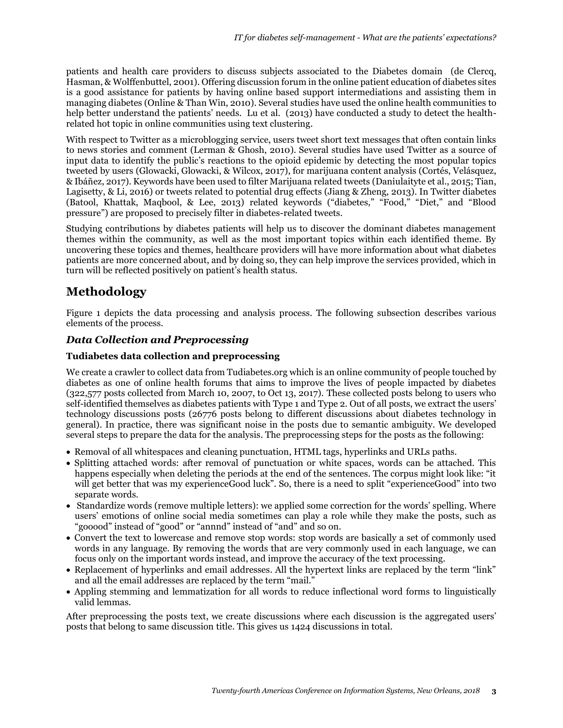patients and health care providers to discuss subjects associated to the Diabetes domain (de Clercq, Hasman, & Wolffenbuttel, 2001). Offering discussion forum in the online patient education of diabetes sites is a good assistance for patients by having online based support intermediations and assisting them in managing diabetes (Online & Than Win, 2010). Several studies have used the online health communities to help better understand the patients' needs. Lu et al. (2013) have conducted a study to detect the healthrelated hot topic in online communities using text clustering.

With respect to Twitter as a microblogging service, users tweet short text messages that often contain links to news stories and comment (Lerman & Ghosh, 2010). Several studies have used Twitter as a source of input data to identify the public's reactions to the opioid epidemic by detecting the most popular topics tweeted by users (Glowacki, Glowacki, & Wilcox, 2017), for marijuana content analysis (Cortés, Velásquez, & Ibáñez, 2017). Keywords have been used to filter Marijuana related tweets (Daniulaityte et al., 2015; Tian, Lagisetty, & Li, 2016) or tweets related to potential drug effects (Jiang & Zheng, 2013). In Twitter diabetes (Batool, Khattak, Maqbool, & Lee, 2013) related keywords ("diabetes," "Food," "Diet," and "Blood pressure") are proposed to precisely filter in diabetes-related tweets.

Studying contributions by diabetes patients will help us to discover the dominant diabetes management themes within the community, as well as the most important topics within each identified theme. By uncovering these topics and themes, healthcare providers will have more information about what diabetes patients are more concerned about, and by doing so, they can help improve the services provided, which in turn will be reflected positively on patient's health status.

## **Methodology**

Figure 1 depicts the data processing and analysis process. The following subsection describes various elements of the process.

#### *Data Collection and Preprocessing*

#### **Tudiabetes data collection and preprocessing**

We create a crawler to collect data from Tudiabetes.org which is an online community of people touched by diabetes as one of online health forums that aims to improve the lives of people impacted by diabetes (322,577 posts collected from March 10, 2007, to Oct 13, 2017). These collected posts belong to users who self-identified themselves as diabetes patients with Type 1 and Type 2. Out of all posts, we extract the users' technology discussions posts (26776 posts belong to different discussions about diabetes technology in general). In practice, there was significant noise in the posts due to semantic ambiguity. We developed several steps to prepare the data for the analysis. The preprocessing steps for the posts as the following:

- Removal of all whitespaces and cleaning punctuation, HTML tags, hyperlinks and URLs paths.
- Splitting attached words: after removal of punctuation or white spaces, words can be attached. This happens especially when deleting the periods at the end of the sentences. The corpus might look like: "it will get better that was my experienceGood luck". So, there is a need to split "experienceGood" into two separate words.
- Standardize words (remove multiple letters): we applied some correction for the words' spelling. Where users' emotions of online social media sometimes can play a role while they make the posts, such as "gooood" instead of "good" or "annnd" instead of "and" and so on.
- Convert the text to lowercase and remove stop words: stop words are basically a set of commonly used words in any language. By removing the words that are very commonly used in each language, we can focus only on the important words instead, and improve the accuracy of the text processing.
- Replacement of hyperlinks and email addresses. All the hypertext links are replaced by the term "link" and all the email addresses are replaced by the term "mail."
- Appling stemming and lemmatization for all words to reduce inflectional word forms to linguistically valid lemmas.

After preprocessing the posts text, we create discussions where each discussion is the aggregated users' posts that belong to same discussion title. This gives us 1424 discussions in total.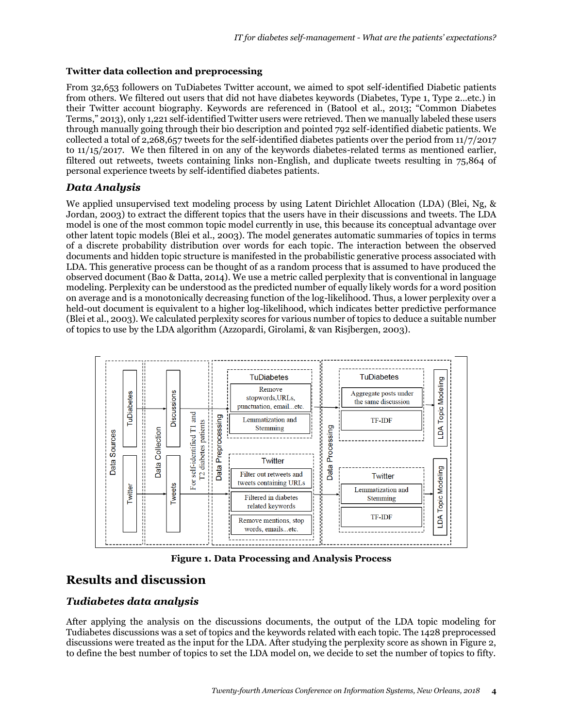#### **Twitter data collection and preprocessing**

From 32,653 followers on TuDiabetes Twitter account, we aimed to spot self-identified Diabetic patients from others. We filtered out users that did not have diabetes keywords (Diabetes, Type 1, Type 2…etc.) in their Twitter account biography. Keywords are referenced in (Batool et al., 2013; "Common Diabetes Terms," 2013), only 1,221 self-identified Twitter users were retrieved. Then we manually labeled these users through manually going through their bio description and pointed 792 self-identified diabetic patients. We collected a total of 2,268,657 tweets for the self-identified diabetes patients over the period from 11/7/2017 to 11/15/2017. We then filtered in on any of the keywords diabetes-related terms as mentioned earlier, filtered out retweets, tweets containing links non-English, and duplicate tweets resulting in 75,864 of personal experience tweets by self-identified diabetes patients.

#### *Data Analysis*

We applied unsupervised text modeling process by using Latent Dirichlet Allocation (LDA) (Blei, Ng, & Jordan, 2003) to extract the different topics that the users have in their discussions and tweets. The LDA model is one of the most common topic model currently in use, this because its conceptual advantage over other latent topic models (Blei et al., 2003). The model generates automatic summaries of topics in terms of a discrete probability distribution over words for each topic. The interaction between the observed documents and hidden topic structure is manifested in the probabilistic generative process associated with LDA. This generative process can be thought of as a random process that is assumed to have produced the observed document (Bao & Datta, 2014). We use a metric called perplexity that is conventional in language modeling. Perplexity can be understood as the predicted number of equally likely words for a word position on average and is a monotonically decreasing function of the log-likelihood. Thus, a lower perplexity over a held-out document is equivalent to a higher log-likelihood, which indicates better predictive performance (Blei et al., 2003). We calculated perplexity scores for various number of topics to deduce a suitable number of topics to use by the LDA algorithm (Azzopardi, Girolami, & van Risjbergen, 2003).



**Figure 1. Data Processing and Analysis Process**

### **Results and discussion**

#### *Tudiabetes data analysis*

After applying the analysis on the discussions documents, the output of the LDA topic modeling for Tudiabetes discussions was a set of topics and the keywords related with each topic. The 1428 preprocessed discussions were treated as the input for the LDA. After studying the perplexity score as shown in Figure 2, to define the best number of topics to set the LDA model on, we decide to set the number of topics to fifty.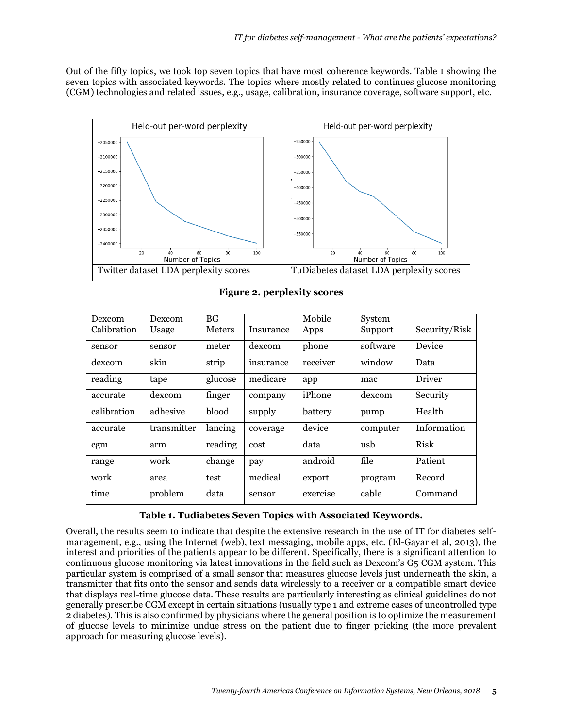Out of the fifty topics, we took top seven topics that have most coherence keywords. Table 1 showing the seven topics with associated keywords. The topics where mostly related to continues glucose monitoring (CGM) technologies and related issues, e.g., usage, calibration, insurance coverage, software support, etc.



| Dexcom      | Dexcom      | BG <sub>F</sub> |           | Mobile   | System   |               |
|-------------|-------------|-----------------|-----------|----------|----------|---------------|
| Calibration | Usage       | Meters          | Insurance | Apps     | Support  | Security/Risk |
| sensor      | sensor      | meter           | dexcom    | phone    | software | Device        |
| dexcom      | skin        | strip           | insurance | receiver | window   | Data          |
| reading     | tape        | glucose         | medicare  | app      | mac      | <b>Driver</b> |
| accurate    | dexcom      | finger          | company   | iPhone   | dexcom   | Security      |
| calibration | adhesive    | blood           | supply    | battery  | pump     | Health        |
| accurate    | transmitter | lancing         | coverage  | device   | computer | Information   |
| cgm         | arm         | reading         | cost      | data     | usb      | <b>Risk</b>   |
| range       | work        | change          | pay       | android  | file     | Patient       |
| work        | area        | test            | medical   | export   | program  | Record        |
| time        | problem     | data            | sensor    | exercise | cable    | Command       |

**Figure 2. perplexity scores**

#### **Table 1. Tudiabetes Seven Topics with Associated Keywords.**

Overall, the results seem to indicate that despite the extensive research in the use of IT for diabetes selfmanagement, e.g., using the Internet (web), text messaging, mobile apps, etc. (El-Gayar et al, 2013), the interest and priorities of the patients appear to be different. Specifically, there is a significant attention to continuous glucose monitoring via latest innovations in the field such as Dexcom's G5 CGM system. This particular system is comprised of a small sensor that measures glucose levels just underneath the skin, a transmitter that fits onto the sensor and sends data wirelessly to a receiver or a compatible smart device that displays real-time glucose data. These results are particularly interesting as clinical guidelines do not generally prescribe CGM except in certain situations (usually type 1 and extreme cases of uncontrolled type 2 diabetes). This is also confirmed by physicians where the general position is to optimize the measurement of glucose levels to minimize undue stress on the patient due to finger pricking (the more prevalent approach for measuring glucose levels).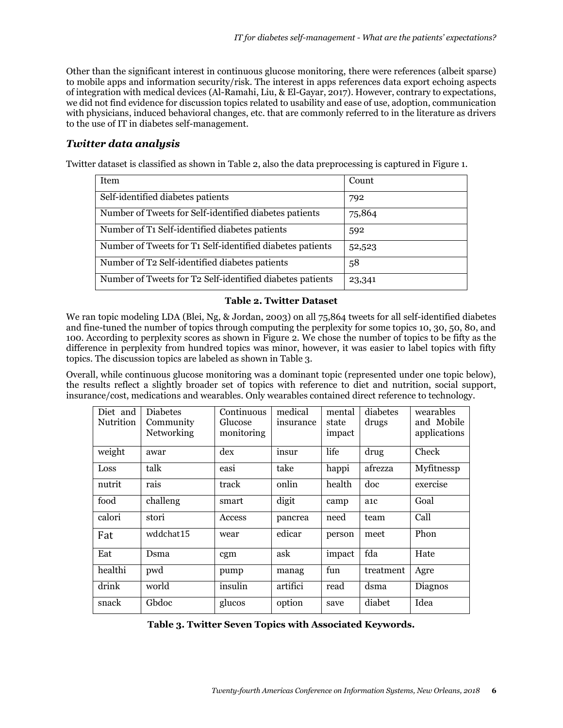Other than the significant interest in continuous glucose monitoring, there were references (albeit sparse) to mobile apps and information security/risk. The interest in apps references data export echoing aspects of integration with medical devices (Al-Ramahi, Liu, & El-Gayar, 2017). However, contrary to expectations, we did not find evidence for discussion topics related to usability and ease of use, adoption, communication with physicians, induced behavioral changes, etc. that are commonly referred to in the literature as drivers to the use of IT in diabetes self-management.

#### *Twitter data analysis*

Twitter dataset is classified as shown in Table 2, also the data preprocessing is captured in Figure 1.

| Item                                                      | Count  |
|-----------------------------------------------------------|--------|
| Self-identified diabetes patients                         | 792    |
| Number of Tweets for Self-identified diabetes patients    | 75,864 |
| Number of T1 Self-identified diabetes patients            | 592    |
| Number of Tweets for T1 Self-identified diabetes patients | 52,523 |
| Number of T2 Self-identified diabetes patients            | 58     |
| Number of Tweets for T2 Self-identified diabetes patients | 23,341 |

#### **Table 2. Twitter Dataset**

We ran topic modeling LDA (Blei, Ng, & Jordan, 2003) on all 75,864 tweets for all self-identified diabetes and fine-tuned the number of topics through computing the perplexity for some topics 10, 30, 50, 80, and 100. According to perplexity scores as shown in Figure 2. We chose the number of topics to be fifty as the difference in perplexity from hundred topics was minor, however, it was easier to label topics with fifty topics. The discussion topics are labeled as shown in Table 3.

Overall, while continuous glucose monitoring was a dominant topic (represented under one topic below), the results reflect a slightly broader set of topics with reference to diet and nutrition, social support, insurance/cost, medications and wearables. Only wearables contained direct reference to technology.

| Diet and         | <b>Diabetes</b> | Continuous | medical   | mental | diabetes         | wearables    |
|------------------|-----------------|------------|-----------|--------|------------------|--------------|
| <b>Nutrition</b> | Community       | Glucose    | insurance | state  | drugs            | and Mobile   |
|                  | Networking      | monitoring |           | impact |                  | applications |
|                  |                 |            |           |        |                  |              |
| weight           | awar            | dex        | insur     | life   | drug             | Check        |
|                  |                 |            |           |        |                  |              |
| Loss             | talk            | easi       | take      | happi  | afrezza          | Myfitnessp   |
|                  |                 |            |           |        |                  |              |
| nutrit           | rais            | track      | onlin     | health | doc              | exercise     |
|                  |                 |            |           |        |                  |              |
| food             | challeng        | smart      | digit     | camp   | a <sub>1</sub> c | Goal         |
| calori           | stori           | Access     | pancrea   | need   | team             | Call         |
|                  |                 |            |           |        |                  |              |
| Fat              | wddchat15       | wear       | edicar    | person | meet             | Phon         |
|                  |                 |            |           |        |                  |              |
| Eat              | Dsma            | cgm        | ask       | impact | fda              | Hate         |
|                  |                 |            |           |        |                  |              |
| healthi          | pwd             | pump       | manag     | fun    | treatment        | Agre         |
|                  |                 |            |           |        |                  |              |
| drink            | world           | insulin    | artifici  | read   | dsma             | Diagnos      |
|                  |                 |            |           |        |                  |              |
| snack            | Gbdoc           | glucos     | option    | save   | diabet           | Idea         |
|                  |                 |            |           |        |                  |              |

**Table 3. Twitter Seven Topics with Associated Keywords.**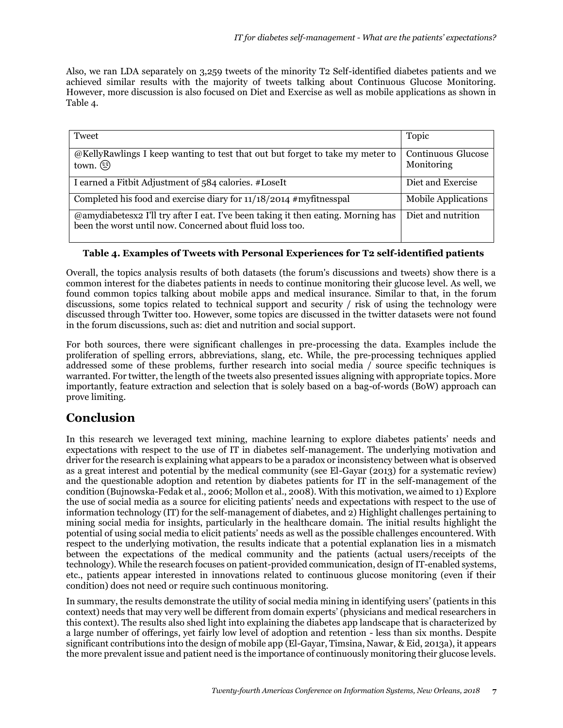Also, we ran LDA separately on 3,259 tweets of the minority T2 Self-identified diabetes patients and we achieved similar results with the majority of tweets talking about Continuous Glucose Monitoring. However, more discussion is also focused on Diet and Exercise as well as mobile applications as shown in Table 4.

| Tweet                                                                                                                                          | Topic                            |
|------------------------------------------------------------------------------------------------------------------------------------------------|----------------------------------|
| @KellyRawlings I keep wanting to test that out but forget to take my meter to<br>town. $\circled{r}$                                           | Continuous Glucose<br>Monitoring |
| I earned a Fitbit Adjustment of 584 calories. #LoseIt                                                                                          | Diet and Exercise                |
| Completed his food and exercise diary for 11/18/2014 #myfitnesspal                                                                             | <b>Mobile Applications</b>       |
| @amydiabetesx2 I'll try after I eat. I've been taking it then eating. Morning has<br>been the worst until now. Concerned about fluid loss too. | Diet and nutrition               |

#### **Table 4. Examples of Tweets with Personal Experiences for T2 self-identified patients**

Overall, the topics analysis results of both datasets (the forum's discussions and tweets) show there is a common interest for the diabetes patients in needs to continue monitoring their glucose level. As well, we found common topics talking about mobile apps and medical insurance. Similar to that, in the forum discussions, some topics related to technical support and security / risk of using the technology were discussed through Twitter too. However, some topics are discussed in the twitter datasets were not found in the forum discussions, such as: diet and nutrition and social support.

For both sources, there were significant challenges in pre-processing the data. Examples include the proliferation of spelling errors, abbreviations, slang, etc. While, the pre-processing techniques applied addressed some of these problems, further research into social media / source specific techniques is warranted. For twitter, the length of the tweets also presented issues aligning with appropriate topics. More importantly, feature extraction and selection that is solely based on a bag-of-words (BoW) approach can prove limiting.

### **Conclusion**

In this research we leveraged text mining, machine learning to explore diabetes patients' needs and expectations with respect to the use of IT in diabetes self-management. The underlying motivation and driver for the research is explaining what appears to be a paradox or inconsistency between what is observed as a great interest and potential by the medical community (see El-Gayar (2013) for a systematic review) and the questionable adoption and retention by diabetes patients for IT in the self-management of the condition (Bujnowska-Fedak et al., 2006; Mollon et al., 2008). With this motivation, we aimed to 1) Explore the use of social media as a source for eliciting patients' needs and expectations with respect to the use of information technology (IT) for the self-management of diabetes, and 2) Highlight challenges pertaining to mining social media for insights, particularly in the healthcare domain. The initial results highlight the potential of using social media to elicit patients' needs as well as the possible challenges encountered. With respect to the underlying motivation, the results indicate that a potential explanation lies in a mismatch between the expectations of the medical community and the patients (actual users/receipts of the technology). While the research focuses on patient-provided communication, design of IT-enabled systems, etc., patients appear interested in innovations related to continuous glucose monitoring (even if their condition) does not need or require such continuous monitoring.

In summary, the results demonstrate the utility of social media mining in identifying users' (patients in this context) needs that may very well be different from domain experts' (physicians and medical researchers in this context). The results also shed light into explaining the diabetes app landscape that is characterized by a large number of offerings, yet fairly low level of adoption and retention - less than six months. Despite significant contributions into the design of mobile app (El-Gayar, Timsina, Nawar, & Eid, 2013a), it appears the more prevalent issue and patient need is the importance of continuously monitoring their glucose levels.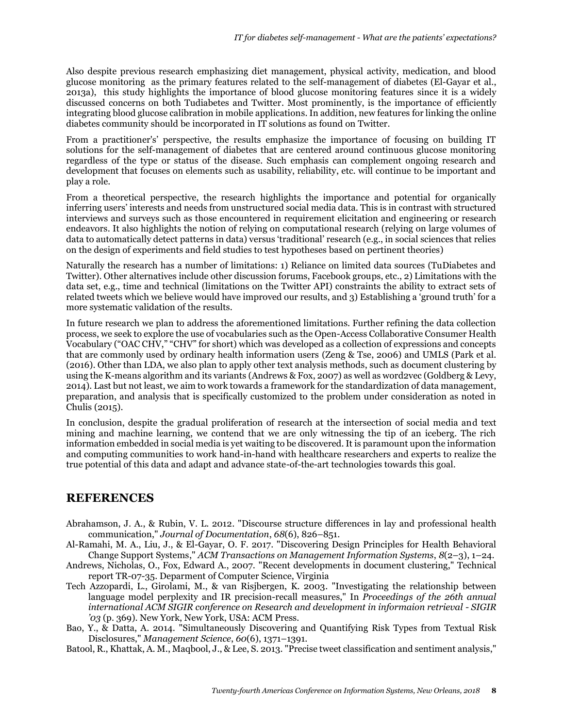Also despite previous research emphasizing diet management, physical activity, medication, and blood glucose monitoring as the primary features related to the self-management of diabetes (El-Gayar et al., 2013a), this study highlights the importance of blood glucose monitoring features since it is a widely discussed concerns on both Tudiabetes and Twitter. Most prominently, is the importance of efficiently integrating blood glucose calibration in mobile applications. In addition, new features for linking the online diabetes community should be incorporated in IT solutions as found on Twitter.

From a practitioner's' perspective, the results emphasize the importance of focusing on building IT solutions for the self-management of diabetes that are centered around continuous glucose monitoring regardless of the type or status of the disease. Such emphasis can complement ongoing research and development that focuses on elements such as usability, reliability, etc. will continue to be important and play a role.

From a theoretical perspective, the research highlights the importance and potential for organically inferring users' interests and needs from unstructured social media data. This is in contrast with structured interviews and surveys such as those encountered in requirement elicitation and engineering or research endeavors. It also highlights the notion of relying on computational research (relying on large volumes of data to automatically detect patterns in data) versus 'traditional' research (e.g., in social sciences that relies on the design of experiments and field studies to test hypotheses based on pertinent theories)

Naturally the research has a number of limitations: 1) Reliance on limited data sources (TuDiabetes and Twitter). Other alternatives include other discussion forums, Facebook groups, etc., 2) Limitations with the data set, e.g., time and technical (limitations on the Twitter API) constraints the ability to extract sets of related tweets which we believe would have improved our results, and 3) Establishing a 'ground truth' for a more systematic validation of the results.

In future research we plan to address the aforementioned limitations. Further refining the data collection process, we seek to explore the use of vocabularies such as the Open-Access Collaborative Consumer Health Vocabulary ("OAC CHV," "CHV" for short) which was developed as a collection of expressions and concepts that are commonly used by ordinary health information users (Zeng & Tse, 2006) and UMLS (Park et al. (2016). Other than LDA, we also plan to apply other text analysis methods, such as document clustering by using the K-means algorithm and its variants (Andrews & Fox, 2007) as well as word2vec (Goldberg & Levy, 2014). Last but not least, we aim to work towards a framework for the standardization of data management, preparation, and analysis that is specifically customized to the problem under consideration as noted in Chulis (2015).

In conclusion, despite the gradual proliferation of research at the intersection of social media and text mining and machine learning, we contend that we are only witnessing the tip of an iceberg. The rich information embedded in social media is yet waiting to be discovered. It is paramount upon the information and computing communities to work hand-in-hand with healthcare researchers and experts to realize the true potential of this data and adapt and advance state-of-the-art technologies towards this goal.

### **REFERENCES**

- Abrahamson, J. A., & Rubin, V. L. 2012. "Discourse structure differences in lay and professional health communication," *Journal of Documentation*, *68*(6), 826–851.
- Al-Ramahi, M. A., Liu, J., & El-Gayar, O. F. 2017. "Discovering Design Principles for Health Behavioral Change Support Systems," *ACM Transactions on Management Information Systems*, *8*(2–3), 1–24.
- Andrews, Nicholas, O., Fox, Edward A., 2007. "Recent developments in document clustering," Technical report TR-07-35. Deparment of Computer Science, Virginia
- Tech Azzopardi, L., Girolami, M., & van Risjbergen, K. 2003. "Investigating the relationship between language model perplexity and IR precision-recall measures," In *Proceedings of the 26th annual international ACM SIGIR conference on Research and development in informaion retrieval - SIGIR '03* (p. 369). New York, New York, USA: ACM Press.
- Bao, Y., & Datta, A. 2014. "Simultaneously Discovering and Quantifying Risk Types from Textual Risk Disclosures," *Management Science*, *60*(6), 1371–1391.
- Batool, R., Khattak, A. M., Maqbool, J., & Lee, S. 2013. "Precise tweet classification and sentiment analysis,"